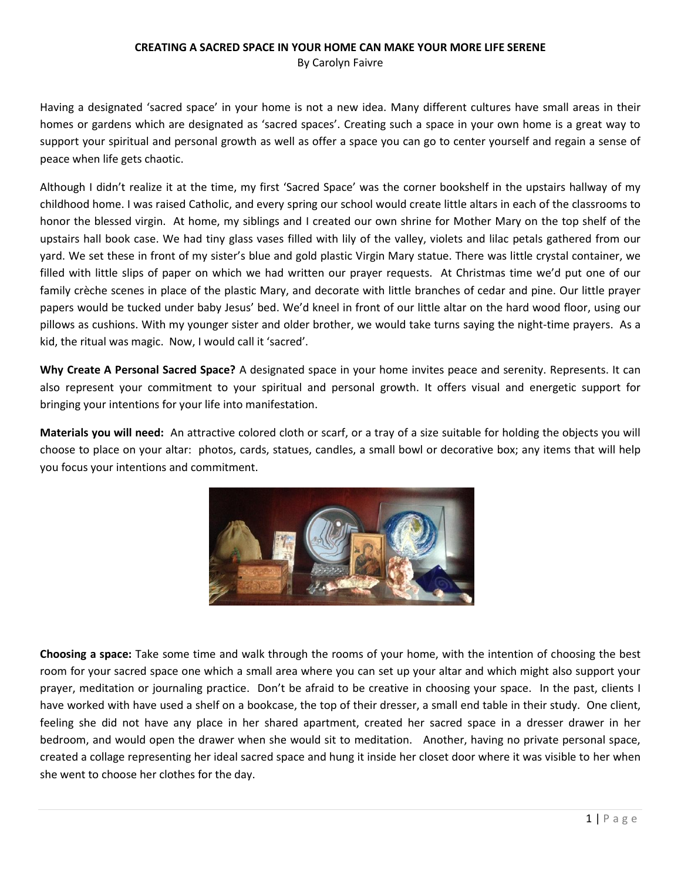## **CREATING A SACRED SPACE IN YOUR HOME CAN MAKE YOUR MORE LIFE SERENE** By Carolyn Faivre

Having a designated 'sacred space' in your home is not a new idea. Many different cultures have small areas in their homes or gardens which are designated as 'sacred spaces'. Creating such a space in your own home is a great way to support your spiritual and personal growth as well as offer a space you can go to center yourself and regain a sense of peace when life gets chaotic.

Although I didn't realize it at the time, my first 'Sacred Space' was the corner bookshelf in the upstairs hallway of my childhood home. I was raised Catholic, and every spring our school would create little altars in each of the classrooms to honor the blessed virgin. At home, my siblings and I created our own shrine for Mother Mary on the top shelf of the upstairs hall book case. We had tiny glass vases filled with lily of the valley, violets and lilac petals gathered from our yard. We set these in front of my sister's blue and gold plastic Virgin Mary statue. There was little crystal container, we filled with little slips of paper on which we had written our prayer requests. At Christmas time we'd put one of our family crèche scenes in place of the plastic Mary, and decorate with little branches of cedar and pine. Our little prayer papers would be tucked under baby Jesus' bed. We'd kneel in front of our little altar on the hard wood floor, using our pillows as cushions. With my younger sister and older brother, we would take turns saying the night-time prayers. As a kid, the ritual was magic. Now, I would call it 'sacred'.

**Why Create A Personal Sacred Space?** A designated space in your home invites peace and serenity. Represents. It can also represent your commitment to your spiritual and personal growth. It offers visual and energetic support for bringing your intentions for your life into manifestation.

**Materials you will need:** An attractive colored cloth or scarf, or a tray of a size suitable for holding the objects you will choose to place on your altar: photos, cards, statues, candles, a small bowl or decorative box; any items that will help you focus your intentions and commitment.



**Choosing a space:** Take some time and walk through the rooms of your home, with the intention of choosing the best room for your sacred space one which a small area where you can set up your altar and which might also support your prayer, meditation or journaling practice. Don't be afraid to be creative in choosing your space. In the past, clients I have worked with have used a shelf on a bookcase, the top of their dresser, a small end table in their study. One client, feeling she did not have any place in her shared apartment, created her sacred space in a dresser drawer in her bedroom, and would open the drawer when she would sit to meditation. Another, having no private personal space, created a collage representing her ideal sacred space and hung it inside her closet door where it was visible to her when she went to choose her clothes for the day.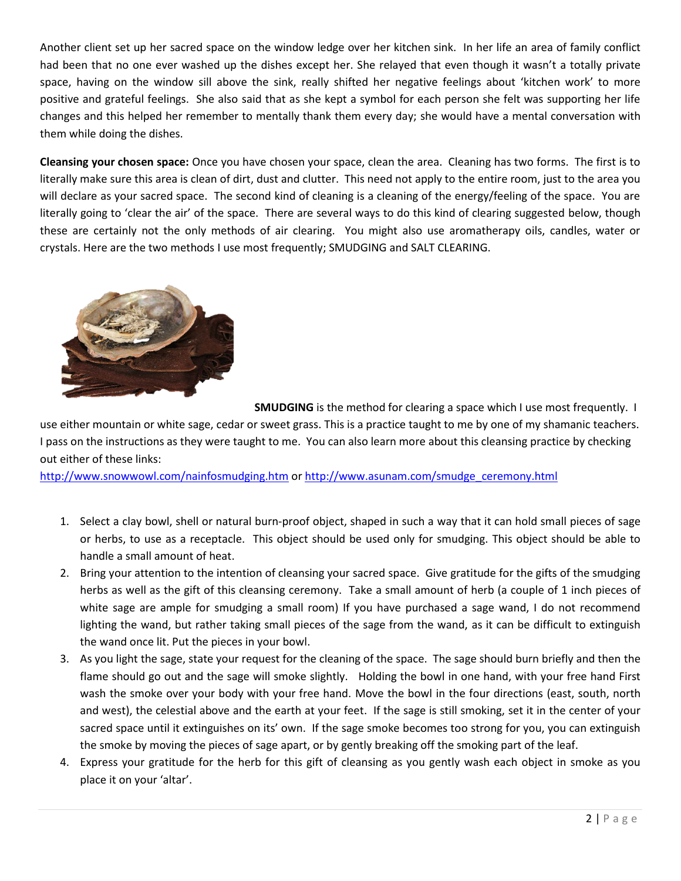Another client set up her sacred space on the window ledge over her kitchen sink. In her life an area of family conflict had been that no one ever washed up the dishes except her. She relayed that even though it wasn't a totally private space, having on the window sill above the sink, really shifted her negative feelings about 'kitchen work' to more positive and grateful feelings. She also said that as she kept a symbol for each person she felt was supporting her life changes and this helped her remember to mentally thank them every day; she would have a mental conversation with them while doing the dishes.

**Cleansing your chosen space:** Once you have chosen your space, clean the area. Cleaning has two forms. The first is to literally make sure this area is clean of dirt, dust and clutter. This need not apply to the entire room, just to the area you will declare as your sacred space. The second kind of cleaning is a cleaning of the energy/feeling of the space. You are literally going to 'clear the air' of the space. There are several ways to do this kind of clearing suggested below, though these are certainly not the only methods of air clearing. You might also use aromatherapy oils, candles, water or crystals. Here are the two methods I use most frequently; SMUDGING and SALT CLEARING.



**SMUDGING** is the method for clearing a space which I use most frequently. I

use either mountain or white sage, cedar or sweet grass. This is a practice taught to me by one of my shamanic teachers. I pass on the instructions as they were taught to me. You can also learn more about this cleansing practice by checking out either of these links:

<http://www.snowwowl.com/nainfosmudging.htm> or [http://www.asunam.com/smudge\\_ceremony.html](http://www.asunam.com/smudge_ceremony.html)

- 1. Select a clay bowl, shell or natural burn-proof object, shaped in such a way that it can hold small pieces of sage or herbs, to use as a receptacle. This object should be used only for smudging. This object should be able to handle a small amount of heat.
- 2. Bring your attention to the intention of cleansing your sacred space. Give gratitude for the gifts of the smudging herbs as well as the gift of this cleansing ceremony. Take a small amount of herb (a couple of 1 inch pieces of white sage are ample for smudging a small room) If you have purchased a sage wand, I do not recommend lighting the wand, but rather taking small pieces of the sage from the wand, as it can be difficult to extinguish the wand once lit. Put the pieces in your bowl.
- 3. As you light the sage, state your request for the cleaning of the space. The sage should burn briefly and then the flame should go out and the sage will smoke slightly. Holding the bowl in one hand, with your free hand First wash the smoke over your body with your free hand. Move the bowl in the four directions (east, south, north and west), the celestial above and the earth at your feet. If the sage is still smoking, set it in the center of your sacred space until it extinguishes on its' own. If the sage smoke becomes too strong for you, you can extinguish the smoke by moving the pieces of sage apart, or by gently breaking off the smoking part of the leaf.
- 4. Express your gratitude for the herb for this gift of cleansing as you gently wash each object in smoke as you place it on your 'altar'.